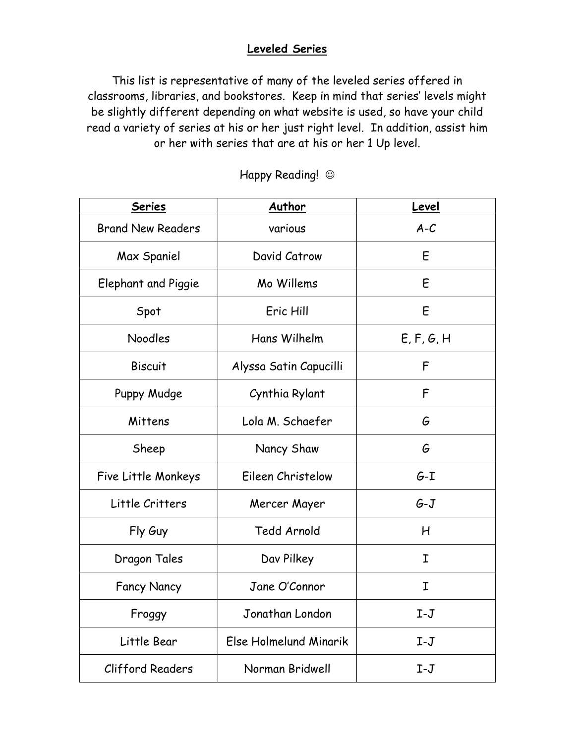## **Leveled Series**

This list is representative of many of the leveled series offered in classrooms, libraries, and bookstores. Keep in mind that series' levels might be slightly different depending on what website is used, so have your child read a variety of series at his or her just right level. In addition, assist him or her with series that are at his or her 1 Up level.

| <b>Series</b>            | Author                 | Level      |
|--------------------------|------------------------|------------|
| <b>Brand New Readers</b> | various                | $A-C$      |
| Max Spaniel              | David Catrow           | E          |
| Elephant and Piggie      | Mo Willems             | E          |
| Spot                     | Eric Hill              | E          |
| Noodles                  | Hans Wilhelm           | E, F, G, H |
| <b>Biscuit</b>           | Alyssa Satin Capucilli | F          |
| Puppy Mudge              | Cynthia Rylant         | F          |
| Mittens                  | Lola M. Schaefer       | G          |
| Sheep                    | Nancy Shaw             | G          |
| Five Little Monkeys      | Eileen Christelow      | $G-I$      |
| Little Critters          | Mercer Mayer           | $G-J$      |
| Fly Guy                  | Tedd Arnold            | Н          |
| Dragon Tales             | Dav Pilkey             | Ι          |
| <b>Fancy Nancy</b>       | Jane O'Connor          | I          |
| Froggy                   | Jonathan London        | $I-J$      |
| Little Bear              | Else Holmelund Minarik | $I-J$      |
| Clifford Readers         | Norman Bridwell        | $I-J$      |

Happy Reading!  $\odot$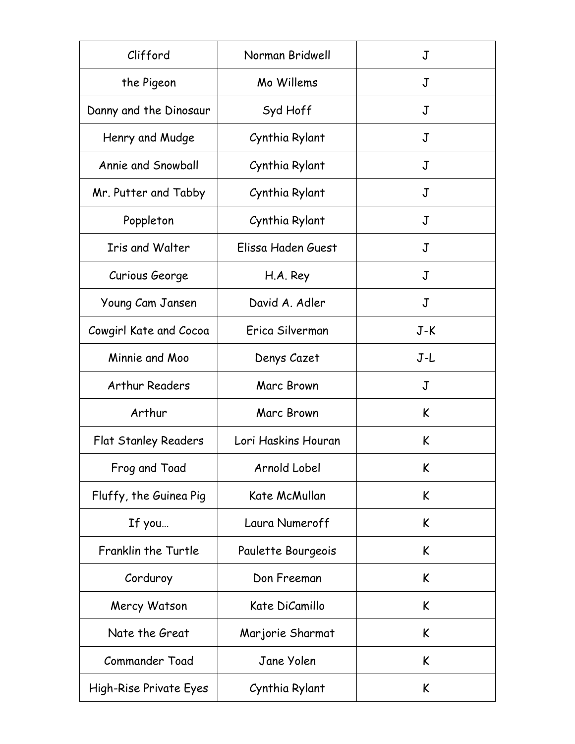| Clifford                    | Norman Bridwell     | J     |
|-----------------------------|---------------------|-------|
| the Pigeon                  | Mo Willems          | J     |
| Danny and the Dinosaur      | Syd Hoff            | J     |
| Henry and Mudge             | Cynthia Rylant      | J     |
| Annie and Snowball          | Cynthia Rylant      | J     |
| Mr. Putter and Tabby        | Cynthia Rylant      | J     |
| Poppleton                   | Cynthia Rylant      | J     |
| <b>Iris and Walter</b>      | Elissa Haden Guest  | J     |
| Curious George              | H.A. Rey            | J     |
| Young Cam Jansen            | David A. Adler      | J     |
| Cowgirl Kate and Cocoa      | Erica Silverman     | $J-K$ |
| Minnie and Moo              | Denys Cazet         | J-L   |
| <b>Arthur Readers</b>       | Marc Brown          | J     |
| Arthur                      | Marc Brown          | K     |
| <b>Flat Stanley Readers</b> | Lori Haskins Houran | K     |
| Frog and Toad               | Arnold Lobel        | K     |
| Fluffy, the Guinea Pig      | Kate McMullan       | K     |
| If you                      | Laura Numeroff      | K     |
| Franklin the Turtle         | Paulette Bourgeois  | K     |
| Corduroy                    | Don Freeman         | K     |
| Mercy Watson                | Kate DiCamillo      | K     |
| Nate the Great              | Marjorie Sharmat    | K     |
| Commander Toad              | Jane Yolen          | K     |
| High-Rise Private Eyes      | Cynthia Rylant      | K     |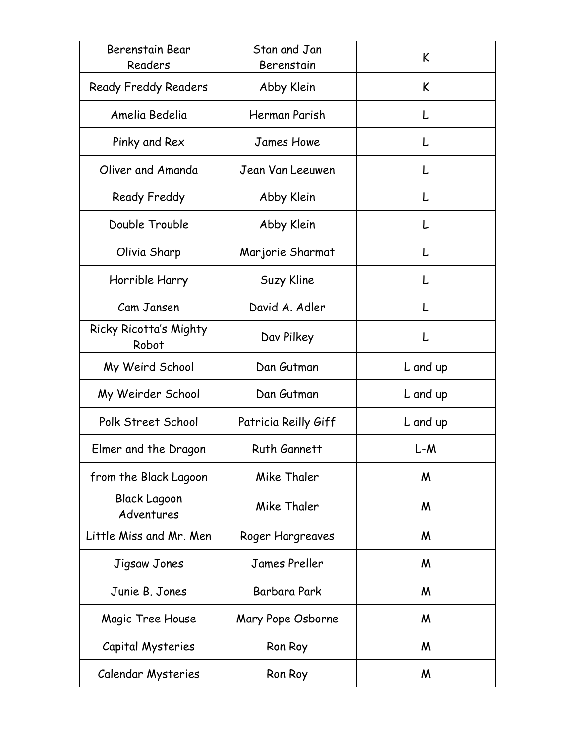| Berenstain Bear<br>Readers        | Stan and Jan<br>Berenstain | K        |
|-----------------------------------|----------------------------|----------|
| <b>Ready Freddy Readers</b>       | Abby Klein                 | K        |
| Amelia Bedelia                    | Herman Parish              |          |
| Pinky and Rex                     | <b>James Howe</b>          |          |
| Oliver and Amanda                 | Jean Van Leeuwen           |          |
| Ready Freddy                      | Abby Klein                 |          |
| Double Trouble                    | Abby Klein                 | L        |
| Olivia Sharp                      | Marjorie Sharmat           | L        |
| Horrible Harry                    | Suzy Kline                 | L        |
| Cam Jansen                        | David A. Adler             |          |
| Ricky Ricotta's Mighty<br>Robot   | Dav Pilkey                 | L        |
| My Weird School                   | Dan Gutman                 | L and up |
| My Weirder School                 | Dan Gutman                 | L and up |
| Polk Street School                | Patricia Reilly Giff       | L and up |
| Elmer and the Dragon              | <b>Ruth Gannett</b>        | L-M      |
| from the Black Lagoon             | Mike Thaler                | M        |
| <b>Black Lagoon</b><br>Adventures | Mike Thaler                | M        |
| Little Miss and Mr. Men           | Roger Hargreaves           | M        |
| Jigsaw Jones                      | James Preller              | M        |
| Junie B. Jones                    | Barbara Park               | M        |
| Magic Tree House                  | Mary Pope Osborne          | M        |
| Capital Mysteries                 | Ron Roy                    | M        |
| Calendar Mysteries                | Ron Roy                    | M        |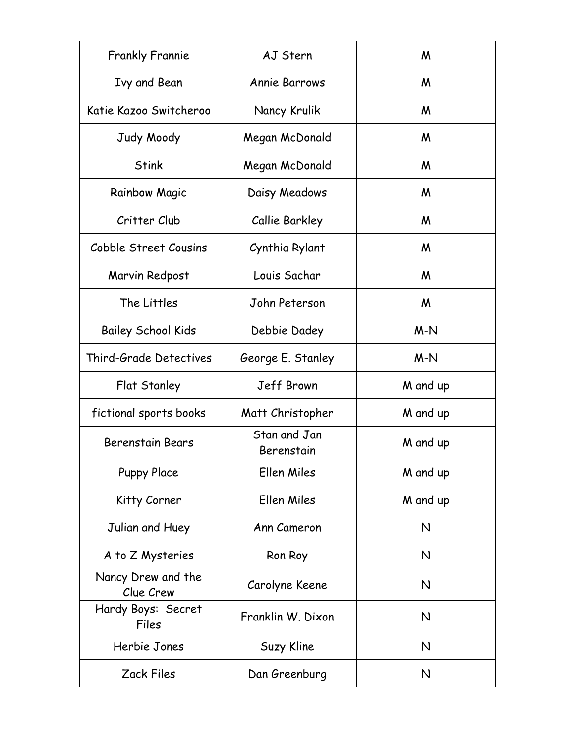| <b>Frankly Frannie</b>          | AJ Stern                   | M        |
|---------------------------------|----------------------------|----------|
| Ivy and Bean                    | <b>Annie Barrows</b>       | M        |
| Katie Kazoo Switcheroo          | Nancy Krulik               | M        |
| Judy Moody                      | Megan McDonald             | M        |
| <b>Stink</b>                    | Megan McDonald             | M        |
| <b>Rainbow Magic</b>            | Daisy Meadows              | M        |
| Critter Club                    | Callie Barkley             | M        |
| Cobble Street Cousins           | Cynthia Rylant             | M        |
| Marvin Redpost                  | Louis Sachar               | M        |
| The Littles                     | John Peterson              | M        |
| <b>Bailey School Kids</b>       | Debbie Dadey               | $M-N$    |
| Third-Grade Detectives          | George E. Stanley          | $M-N$    |
| Flat Stanley                    | Jeff Brown                 | M and up |
| fictional sports books          | Matt Christopher           | M and up |
| <b>Berenstain Bears</b>         | Stan and Jan<br>Berenstain | M and up |
| <b>Puppy Place</b>              | Ellen Miles                | M and up |
| Kitty Corner                    | Ellen Miles                | M and up |
| Julian and Huey                 | Ann Cameron                | N        |
| A to Z Mysteries                | Ron Roy                    | N        |
| Nancy Drew and the<br>Clue Crew | Carolyne Keene             | N        |
| Hardy Boys: Secret<br>Files     | Franklin W. Dixon          | N        |
| Herbie Jones                    | Suzy Kline                 | N        |
| <b>Zack Files</b>               | Dan Greenburg              | N        |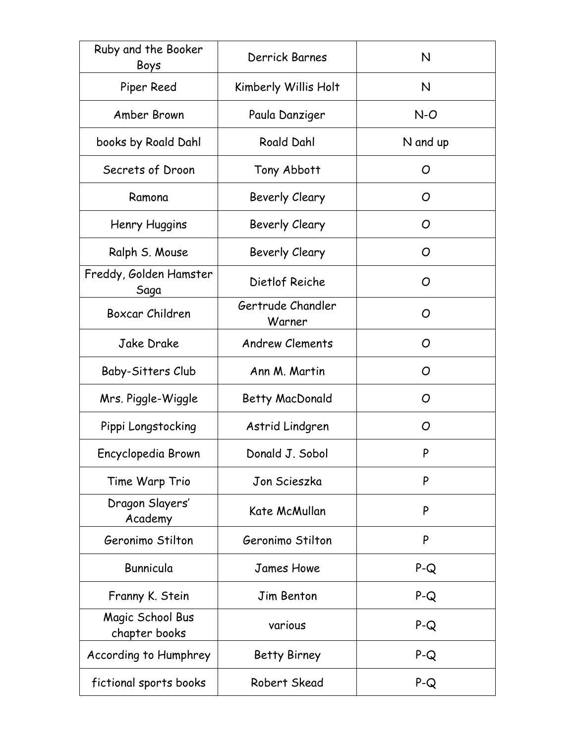| Ruby and the Booker<br>Boys       | Derrick Barnes              | N        |
|-----------------------------------|-----------------------------|----------|
| Piper Reed                        | Kimberly Willis Holt        | N        |
| Amber Brown                       | Paula Danziger              | $N-O$    |
| books by Roald Dahl               | <b>Roald Dahl</b>           | N and up |
| Secrets of Droon                  | Tony Abbott                 | O        |
| Ramona                            | Beverly Cleary              | O        |
| Henry Huggins                     | Beverly Cleary              | O        |
| Ralph S. Mouse                    | Beverly Cleary              | O        |
| Freddy, Golden Hamster<br>Saga    | Dietlof Reiche              | O        |
| Boxcar Children                   | Gertrude Chandler<br>Warner | O        |
| Jake Drake                        | <b>Andrew Clements</b>      | O        |
| Baby-Sitters Club                 | Ann M. Martin               | O        |
| Mrs. Piggle-Wiggle                | Betty MacDonald             | O        |
| Pippi Longstocking                | Astrid Lindgren             | O        |
| Encyclopedia Brown                | Donald J. Sobol             | P        |
| Time Warp Trio                    | Jon Scieszka                | P        |
| Dragon Slayers'<br>Academy        | Kate McMullan               | P        |
| Geronimo Stilton                  | Geronimo Stilton            | P        |
| Bunnicula                         | <b>James Howe</b>           | $P-Q$    |
| Franny K. Stein                   | Jim Benton                  | $P-Q$    |
| Magic School Bus<br>chapter books | various                     | $P-Q$    |
| According to Humphrey             | <b>Betty Birney</b>         | $P-Q$    |
| fictional sports books            | Robert Skead                | $P-Q$    |